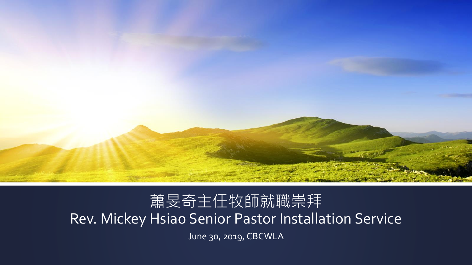

#### 蕭旻奇主任牧師就職崇拜 Rev. Mickey Hsiao Senior Pastor Installation Service June 30, 2019, CBCWLA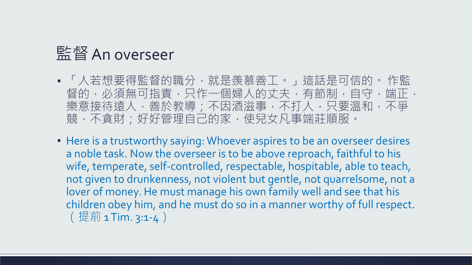### 監督An overseer

- 「人若想要得監督的職分,就是羨慕善工。」這話是可信的。 作監 督的,必須無可指責,只作一個婦人的丈夫,有節制,自守,端正, 樂意接待遠人,善於教導;不因酒滋事,不打人,只要溫和,不爭 競,不貪財;好好管理自己的家,使兒女凡事端莊順服。
- **EXTERF IS A THE IS A THE VIOLET IS A THE ISLE IS A THE ISLE IS A THE ISLE IS A HEATER ISLE ISLES F** a noble task. Now the overseer is to be above reproach, faithful to his wife, temperate, self-controlled, respectable, hospitable, able to teach, not given to drunkenness, not violent but gentle, not quarrelsome, not a lover of money. He must manage his own family well and see that his children obey him, and he must do so in a manner worthy of full respect. (提前 1 Tim. 3:1-4)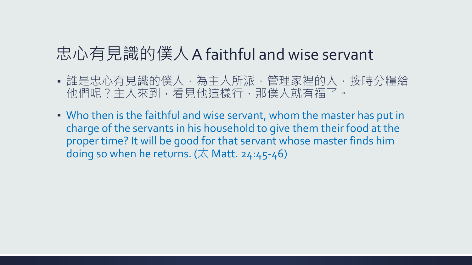### 忠心有見識的僕人A faithful and wise servant

- 誰是忠心有見識的僕人,為主人所派,管理家裡的人,按時分糧給 他們呢?主人來到,看見他這樣行,那僕人就有福了。
- Who then is the faithful and wise servant, whom the master has put in charge of the servants in his household to give them their food at the proper time? It will be good for that servant whose master finds him doing so when he returns. ( $\overline{\wedge}$  Matt. 24:45-46)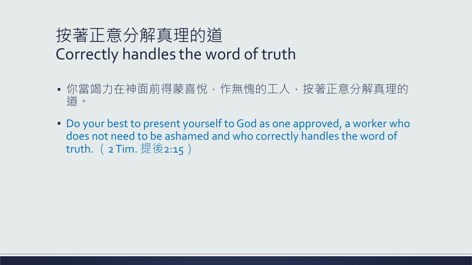## 按著正意分解真理的道 Correctly handles the word of truth

- 你當竭力在神面前得蒙喜悅,作無愧的工人,按著正意分解真理的 道。
- Do your best to present yourself to God as one approved, a worker who does not need to be ashamed and who correctly handles the word of truth. (2 Tim. 提後2:15)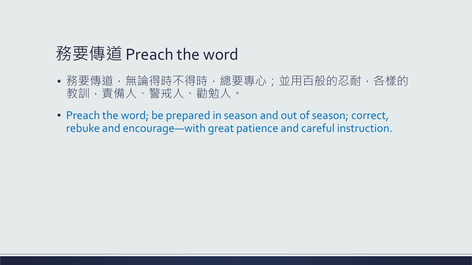## 務要傳道 Preach the word

- 務要傳道,無論得時不得時,總要專心;並用百般的忍耐,各樣的 教訓,責備人、警戒人、勸勉人。
- **Preach the word; be prepared in season and out of season; correct,** rebuke and encourage—with great patience and careful instruction.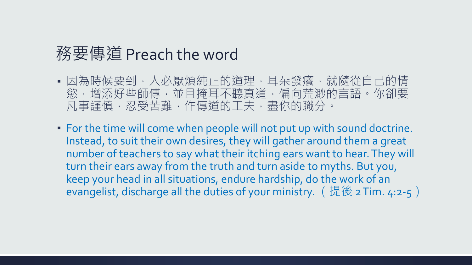### 務要傳道 Preach the word

- 因為時候要到,人必厭煩純正的道理,耳朵發癢,就隨從自己的情 慾,增添好些師傅,並且掩耳不聽真道,偏向荒渺的言語。你卻要 凡事謹慎,忍受苦難,作傳道的工夫,盡你的職分。
- For the time will come when people will not put up with sound doctrine. Instead, to suit their own desires, they will gather around them a great number of teachers to say what their itching ears want to hear. They will turn their ears away from the truth and turn aside to myths. But you, keep your head in all situations, endure hardship, do the work of an evangelist, discharge all the duties of your ministry. (提後 2 Tim. 4:2-5)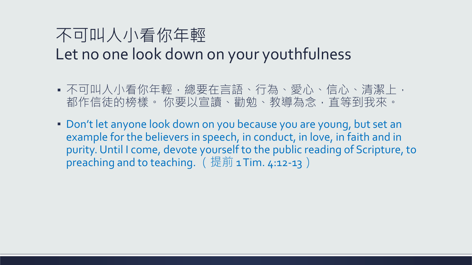## 不可叫人小看你年輕 Let no one look down on your youthfulness

- 不可叫人小看你年輕,總要在言語、行為、愛心、信心、清潔上, 都作信徒的榜樣。 你要以宣讀、勸勉、教導為念,直等到我來。
- Don't let anyone look down on you because you are young, but set an example for the believers in speech, in conduct, in love, in faith and in purity. Until I come, devote yourself to the public reading of Scripture, to preaching and to teaching. (提前 1 Tim. 4:12-13)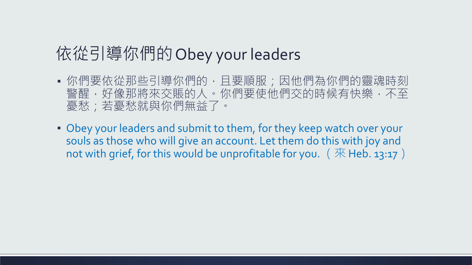## 依從引導你們的Obey your leaders

- 你們要依從那些引導你們的,且要順服;因他們為你們的靈魂時刻 警醒,好像那將來交賬的人。你們要使他們交的時候有快樂,不至 憂愁;若憂愁就與你們無益了。
- **.** Obey your leaders and submit to them, for they keep watch over your souls as those who will give an account. Let them do this with joy and not with grief, for this would be unprofitable for you.  $({\mathcal{R}}$  Heb. 13:17)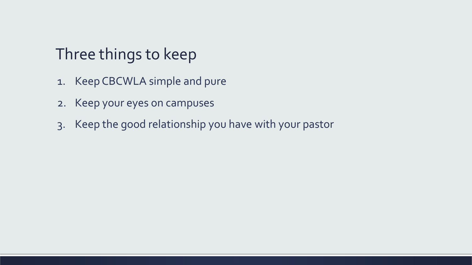## Three things to keep

- 1. Keep CBCWLA simple and pure
- 2. Keep your eyes on campuses
- 3. Keep the good relationship you have with your pastor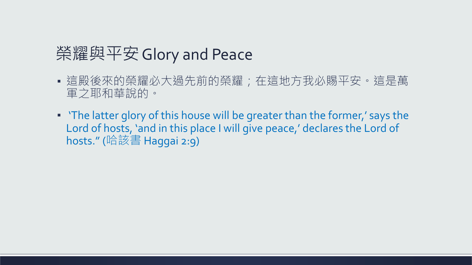## 榮耀與平安Glory and Peace

- 這殿後來的榮耀必大過先前的榮耀; 在這地方我必賜平安。這是萬 軍之耶和華說的。
- 'The latter glory of this house will be greater than the former,' says the Lord of hosts, 'and in this place I will give peace,' declares the Lord of hosts." (哈該書 Haggai 2:9)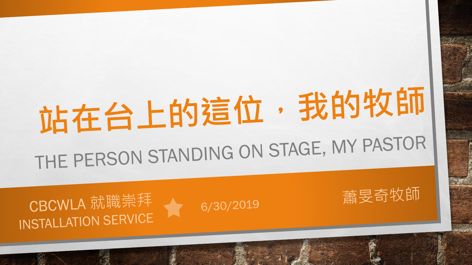# 站在台上的這位,我的牧師 THE PERSON STANDING ON STAGE, MY PASTOR

蕭旻奇牧師

6/30/2019

CBCWLA 就職崇拜 INSTALLATION SERVICE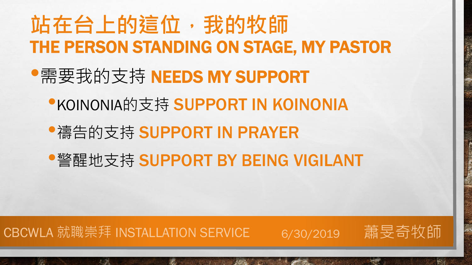# **站在台上的這位,我的牧師** THE PERSON STANDING ON STAGE, MY PASTOR •需要我的支持 NEEDS MY SUPPORT **•KOINONIA的支持 SUPPORT IN KOINONIA** •禱告的支持 SUPPORT IN PRAYER •警醒地支持 SUPPORT BY BEING VIGILANT

**大全集 人名英格兰人姓氏格尔森** 

#### CBCWLA 就職崇拜 INSTALLATION SERVICE \_\_\_\_ 6/30/2019 \_\_\_蕭旻奇牧師

 $\mathcal{L}_{\alpha}$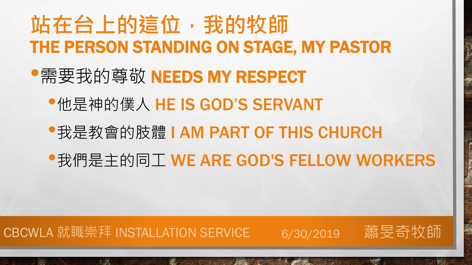# **站在台上的這位,我的牧師** THE PERSON STANDING ON STAGE, MY PASTOR

## •需要我的尊敬 NEEDS MY RESPECT

## •他是神的僕人 HE IS GOD'S SERVANT

## •我是教會的肢體 I AM PART OF THIS CHURCH

**RESIDENCE AND ARRAIGNMENT** 

## •我們是主的同工 WE ARE GOD'S FELLOW WORKERS

#### CBCWLA 就職崇拜 INSTALLATION SERVICE 6/30/2019 蕭旻奇牧師

 $\mathcal{L}_{\alpha}$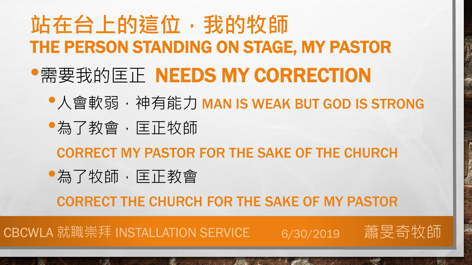# **站在台上的這位,我的牧師** THE PERSON STANDING ON STAGE, MY PASTOR •需要我的匡正 NEEDS MY CORRECTION

- •人會軟弱, 神有能力 MAN IS WEAK BUT GOD IS STRONG
- •為了教會,匡正牧師

CORRECT MY PASTOR FOR THE SAKE OF THE CHURCH

•為了牧師,匡正教會

CORRECT THE CHURCH FOR THE SAKE OF MY PASTOR

**AND AND AND ARRA** 

CBCWLA 就職崇拜 INSTALLATION SERVICE 6/30/2019 蕭旻奇牧師

 $\mathbb{A}_{\mathbb{A}}$